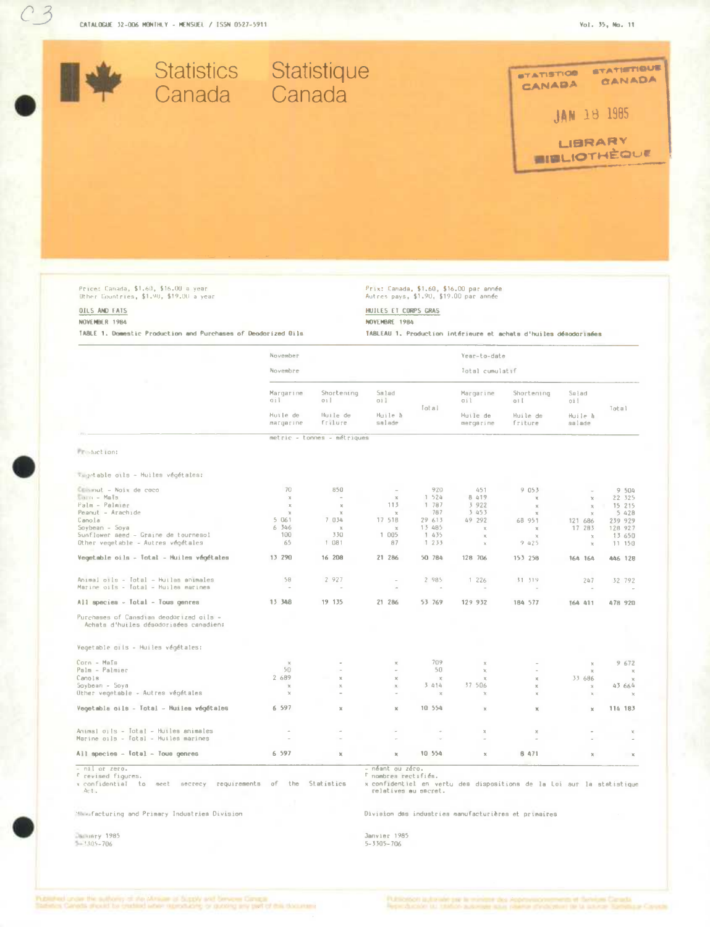

Price: Canada, \$1.60, \$16.00 a year<br>Other Countries, \$1.90, \$19.00 a year

### OILS AND FATS NOVEMBER 1984

TABLE 1. Domestic Production and Purchases of Deodorized Dils

# Prix: Canada, \$1.60, \$16.00 par année<br>Autres pays, \$1.90, \$19.00 par année

HUILES ET CORPS GRAS

NOVEMBRE 1984

TABLEAU 1. Production intérieure et achats d'huiles déaudorisées

|                                                                                   | November<br>Novembre                       |                                          |                                   |                          | Year-to-date<br>Total cumulatif           |                                           |                                   |               |
|-----------------------------------------------------------------------------------|--------------------------------------------|------------------------------------------|-----------------------------------|--------------------------|-------------------------------------------|-------------------------------------------|-----------------------------------|---------------|
|                                                                                   |                                            |                                          |                                   |                          |                                           |                                           |                                   |               |
|                                                                                   | Margarine<br>ail.<br>Huile de<br>margarine | Shortening<br>011<br>Huile de<br>frilure | Salad<br>011<br>Huile à<br>salade | Tot al                   | Margarine<br>oil<br>Huile de<br>mergarine | Shortening<br>ai L<br>Huile de<br>friture | Salad<br>oit<br>Huile à<br>salade | Total         |
|                                                                                   |                                            |                                          |                                   |                          |                                           |                                           |                                   |               |
|                                                                                   |                                            | metric - tonnes - métriques              |                                   |                          |                                           |                                           |                                   |               |
| Freduction:                                                                       |                                            |                                          |                                   |                          |                                           |                                           |                                   |               |
| vegetable oils - Huiles végétales:                                                |                                            |                                          |                                   |                          |                                           |                                           |                                   |               |
| Commut - Naix de caco                                                             | 70                                         | 850                                      | $\overline{\phantom{a}}$          | 920                      | 451                                       | 9053                                      |                                   | 9 504         |
| $ Ma^Ts$                                                                          | $\rm X$                                    | $\sim$                                   | $\chi$                            | 1 524                    | 8 419                                     | $\mathcal{H}$                             | $\chi$                            | 22 325        |
| Palm - Palmier                                                                    | $\mathbb{K}$                               | $\mathbf{x}$                             | 113                               | 1 787                    | 3 922                                     | $\mathbb{X}$                              | $\mathcal{H}_\mathrm{c}$          | 15 215        |
| Peanut - Arachide                                                                 | $\mathbf x$                                | $\times$                                 | $\mathcal{R}$                     | 787                      | 3 453                                     | $\mathbb{X}$                              | $\times$                          | 5 4 2 8       |
| Canola                                                                            | 5 061                                      | 7 034                                    | 17 518                            | 29 613                   | 49 292                                    | 68 951                                    | 121 686                           | 239 929       |
| Soybean - Soya                                                                    | 6 346                                      | $\mathbb{X}$                             | $\chi$                            | 13 485                   | $\chi$                                    | $\mathcal{H}$                             | 17 283                            | 128 927       |
| Sunflower aeed - Graine de tournesol                                              | 100                                        | 330                                      | 1 0 0 5                           | 1435                     | $\chi$                                    | $\mathbb X$                               | $\chi$                            | 13 650        |
| Other vegetable - Autres végétales                                                | 65                                         | 1 081                                    | 87                                | 1233                     | $\chi$                                    | 9 425                                     | $\chi$                            | 11 150        |
| Vegetable oils - Total - Huiles végétales                                         | 13 290                                     | 16 208                                   | 21 286                            | 50 784                   | 128 706                                   | 153 258                                   | 164 164                           | 446 128       |
| Animal cils - Total - Huilas animales                                             | 58                                         | 2 927                                    | $\sim$                            | 2 985                    | 1226                                      | 31 319                                    | 247                               | 32 792        |
| Marine oils - Total - Muilea marines                                              | $\sim$                                     | $\sim$                                   | $\overline{\phantom{a}}$          | $\overline{\phantom{a}}$ | $\overline{\phantom{a}}$                  |                                           | $\sim$                            | $\sim$        |
| All species - Total - Tous genres                                                 | 13 348                                     | 19 135                                   | 21 286                            | 53 769                   | 129 932                                   | 184 577                                   | 164 411                           | 478 920       |
| Purchases of Cansdian deodorized cils -<br>Achata d'huiles désodorisées canadien: |                                            |                                          |                                   |                          |                                           |                                           |                                   |               |
| Vegetable oiis - Huiles végétales:                                                |                                            |                                          |                                   |                          |                                           |                                           |                                   |               |
| Corn - Maïs                                                                       | $\chi$                                     |                                          | $\mathbb{M}$                      | 709                      | $\mathbb{X}$                              |                                           | $\chi$                            | 9 672         |
| Palm - Palmier                                                                    | 50                                         |                                          | i.                                | 50                       | $\chi$                                    | $\overline{\phantom{a}}$                  | $\mathbf x$                       | $\mathcal{M}$ |
| Canols                                                                            | 2 689                                      | $\mathbf{x}$                             | $\chi$                            | $\mathbf{x}$             | $\mathbb{X}$                              | $\mathbb{R}$                              | 33 686                            | $\chi$        |
| Soybean - Soya                                                                    | $\mathbb X$                                | $\boldsymbol{\times}$                    | $\boldsymbol{\times}$             | 3 414                    | 37 506                                    | $\mathbbm{K}$                             | $\mathbb{X}$                      | 43 664        |
| Uther vegetable - Autres végétales                                                | $\chi$                                     |                                          | $\omega$                          | $\chi$                   | $\chi$                                    | $\chi$                                    | $\mathbb{X}$                      | $\times$      |
| Vegetable oils - Total - Huiles végétales                                         | 6 597                                      | $\mathbb{M}$                             | $\mathbbm{Z}$                     | 10 554                   | $\mathbf x$                               | $\mathbf x$                               | $\mathbbm{R}$                     | 114 183       |
| Animal oils - Total - Huiles animales<br>Marine oils - Total - Huiles marines     |                                            |                                          |                                   |                          | $\mathbf{x}$<br>$\sim$                    | $\mathbf x$                               |                                   | x             |
| All species - Total - Tous genres                                                 | 6 5 9 7                                    | $\mathbb{M}$                             | ×                                 | 10 554                   | $\boldsymbol{\times}$                     | 8 471                                     | $\mathbf{x}$                      | $\mathbf x$   |
| - nil or zero.                                                                    |                                            |                                          | - néant ou zéro.                  |                          |                                           |                                           |                                   |               |

- nil or zero.<br>f revised figures.

x confidential to meet secrecy requirements of the Statistics

Maaufacturing and Primary Industries Division

Juliary 1985<br>1985-706

- néant ou zéro.<br><sup>F</sup> nombres tectifiés.<br>x confidentiel en vertu des dispositions de la Loi sur la statistique<br>relatives au sacret.

Division das industries manufacturières et primaires

Janvier 1985<br>5-3305-706